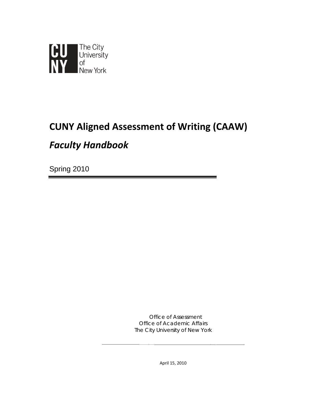

# **CUNY Aligned Assessment of Writing (CAAW)**

## *Faculty Handbook*

Spring 2010

Office of Assessment Office of Academic Affairs The City University of New York **\_\_\_\_\_\_\_\_\_\_\_\_\_\_\_\_\_\_\_\_\_\_\_\_\_\_\_\_\_\_\_\_\_\_\_\_\_\_\_\_\_\_\_\_\_\_\_\_\_\_\_\_\_\_\_\_\_\_\_\_**

April 15, 2010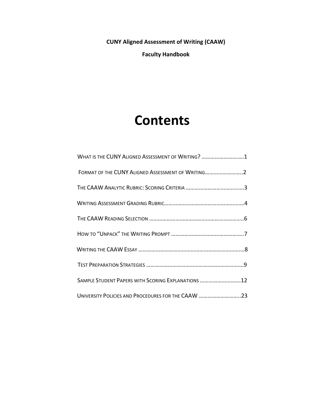**CUNY Aligned Assessment of Writing (CAAW)**

**Faculty Handbook**

# **Contents**

| WHAT IS THE CUNY ALIGNED ASSESSMENT OF WRITING? 1   |
|-----------------------------------------------------|
| FORMAT OF THE CUNY ALIGNED ASSESSMENT OF WRITING2   |
|                                                     |
|                                                     |
|                                                     |
|                                                     |
|                                                     |
|                                                     |
| SAMPLE STUDENT PAPERS WITH SCORING EXPLANATIONS  12 |
| UNIVERSITY POLICIES AND PROCEDURES FOR THE CAAW 23  |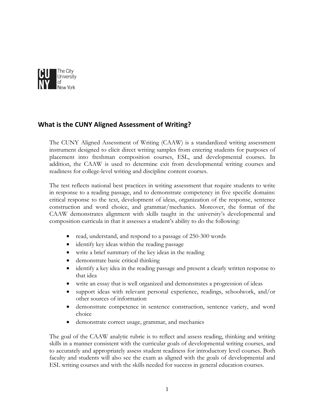

## **What is the CUNY Aligned Assessment of Writing?**

The CUNY Aligned Assessment of Writing (CAAW) is a standardized writing assessment instrument designed to elicit direct writing samples from entering students for purposes of placement into freshman composition courses, ESL, and developmental courses. In addition, the CAAW is used to determine exit from developmental writing courses and readiness for college-level writing and discipline content courses.

The test reflects national best practices in writing assessment that require students to write in response to a reading passage, and to demonstrate competency in five specific domains: critical response to the text, development of ideas, organization of the response, sentence construction and word choice, and grammar/mechanics. Moreover, the format of the CAAW demonstrates alignment with skills taught in the university's developmental and composition curricula in that it assesses a student's ability to do the following:

- read, understand, and respond to a passage of 250-300 words
- identify key ideas within the reading passage
- write a brief summary of the key ideas in the reading
- demonstrate basic critical thinking
- identify a key idea in the reading passage and present a clearly written response to that idea
- write an essay that is well organized and demonstrates a progression of ideas
- support ideas with relevant personal experience, readings, schoolwork, and/or other sources of information
- demonstrate competence in sentence construction, sentence variety, and word choice
- demonstrate correct usage, grammar, and mechanics

The goal of the CAAW analytic rubric is to reflect and assess reading, thinking and writing skills in a manner consistent with the curricular goals of developmental writing courses, and to accurately and appropriately assess student readiness for introductory level courses. Both faculty and students will also see the exam as aligned with the goals of developmental and ESL writing courses and with the skills needed for success in general education courses.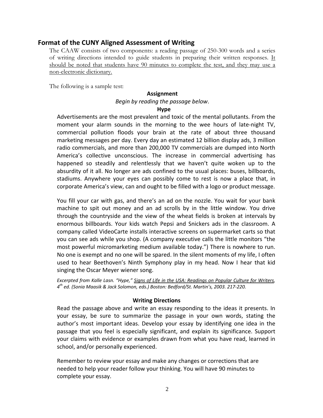## **Format of the CUNY Aligned Assessment of Writing**

The CAAW consists of two components: a reading passage of 250-300 words and a series of writing directions intended to guide students in preparing their written responses. It should be noted that students have 90 minutes to complete the test, and they may use a non-electronic dictionary.

The following is a sample test:

#### **Assignment**

## *Begin by reading the passage below*.

#### **Hype**

Advertisements are the most prevalent and toxic of the mental pollutants. From the moment your alarm sounds in the morning to the wee hours of late-night TV, commercial pollution floods your brain at the rate of about three thousand marketing messages per day. Every day an estimated 12 billion display ads, 3 million radio commercials, and more than 200,000 TV commercials are dumped into North America's collective unconscious. The increase in commercial advertising has happened so steadily and relentlessly that we haven't quite woken up to the absurdity of it all. No longer are ads confined to the usual places: buses, billboards, stadiums. Anywhere your eyes can possibly come to rest is now a place that, in corporate America's view, can and ought to be filled with a logo or product message.

You fill your car with gas, and there's an ad on the nozzle. You wait for your bank machine to spit out money and an ad scrolls by in the little window. You drive through the countryside and the view of the wheat fields is broken at intervals by enormous billboards. Your kids watch Pepsi and Snickers ads in the classroom. A company called VideoCarte installs interactive screens on supermarket carts so that you can see ads while you shop. (A company executive calls the little monitors "the most powerful micromarketing medium available today.") There is nowhere to run. No one is exempt and no one will be spared. In the silent moments of my life, I often used to hear Beethoven's Ninth Symphony play in my head. Now I hear that kid singing the Oscar Meyer wiener song.

*Excerpted from Kalle Lasn. "Hype," Signs of Life in the USA: Readings on Popular Culture for Writers, 4th ed. (Sonia Maasik & Jack Solomon, eds.) Boston: Bedford/St. Martin's, 2003. 217‐220.*

## **Writing Directions**

Read the passage above and write an essay responding to the ideas it presents. In your essay, be sure to summarize the passage in your own words, stating the author's most important ideas. Develop your essay by identifying one idea in the passage that you feel is especially significant, and explain its significance. Support your claims with evidence or examples drawn from what you have read, learned in school, and/or personally experienced.

Remember to review your essay and make any changes or corrections that are needed to help your reader follow your thinking. You will have 90 minutes to complete your essay.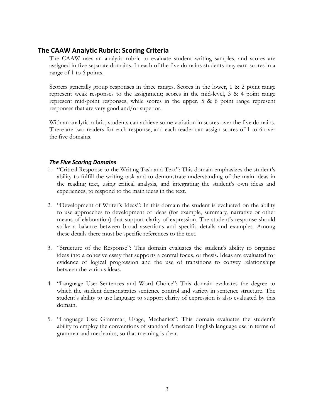## **The CAAW Analytic Rubric: Scoring Criteria**

The CAAW uses an analytic rubric to evaluate student writing samples, and scores are assigned in five separate domains. In each of the five domains students may earn scores in a range of 1 to 6 points.

Scorers generally group responses in three ranges. Scores in the lower, 1 & 2 point range represent weak responses to the assignment; scores in the mid-level, 3 & 4 point range represent mid-point responses, while scores in the upper, 5 & 6 point range represent responses that are very good and/or superior.

With an analytic rubric, students can achieve some variation in scores over the five domains. There are two readers for each response, and each reader can assign scores of 1 to 6 over the five domains.

## *The Five Scoring Domains*

- 1. "Critical Response to the Writing Task and Text": This domain emphasizes the student's ability to fulfill the writing task and to demonstrate understanding of the main ideas in the reading text, using critical analysis, and integrating the student's own ideas and experiences, to respond to the main ideas in the text.
- 2. "Development of Writer's Ideas": In this domain the student is evaluated on the ability to use approaches to development of ideas (for example, summary, narrative or other means of elaboration) that support clarity of expression. The student's response should strike a balance between broad assertions and specific details and examples. Among these details there must be specific references to the text.
- 3. "Structure of the Response": This domain evaluates the student's ability to organize ideas into a cohesive essay that supports a central focus, or thesis. Ideas are evaluated for evidence of logical progression and the use of transitions to convey relationships between the various ideas.
- 4. "Language Use: Sentences and Word Choice": This domain evaluates the degree to which the student demonstrates sentence control and variety in sentence structure. The student's ability to use language to support clarity of expression is also evaluated by this domain.
- 5. "Language Use: Grammar, Usage, Mechanics": This domain evaluates the student's ability to employ the conventions of standard American English language use in terms of grammar and mechanics, so that meaning is clear.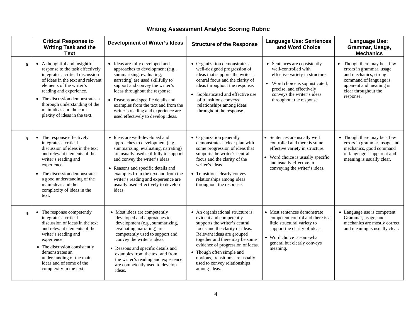|                         | <b>Critical Response to</b><br><b>Writing Task and the</b><br><b>Text</b>                                                                                                                                                                                                                                                         | <b>Development of Writer's Ideas</b>                                                                                                                                                                                                                                                                                                                                | <b>Structure of the Response</b>                                                                                                                                                                                                                                                                                                                      | <b>Language Use: Sentences</b><br>and Word Choice                                                                                                                                                                | <b>Language Use:</b><br>Grammar, Usage,<br><b>Mechanics</b>                                                                                                                        |
|-------------------------|-----------------------------------------------------------------------------------------------------------------------------------------------------------------------------------------------------------------------------------------------------------------------------------------------------------------------------------|---------------------------------------------------------------------------------------------------------------------------------------------------------------------------------------------------------------------------------------------------------------------------------------------------------------------------------------------------------------------|-------------------------------------------------------------------------------------------------------------------------------------------------------------------------------------------------------------------------------------------------------------------------------------------------------------------------------------------------------|------------------------------------------------------------------------------------------------------------------------------------------------------------------------------------------------------------------|------------------------------------------------------------------------------------------------------------------------------------------------------------------------------------|
| 6                       | • A thoughtful and insightful<br>response to the task effectively<br>integrates a critical discussion<br>of ideas in the text and relevant<br>elements of the writer's<br>reading and experience.<br>• The discussion demonstrates a<br>thorough understanding of the<br>main ideas and the com-<br>plexity of ideas in the text. | • Ideas are fully developed and<br>approaches to development (e.g.,<br>summarizing, evaluating,<br>narrating) are used skillfully to<br>support and convey the writer's<br>ideas throughout the response.<br>• Reasons and specific details and<br>examples from the text and from the<br>writer's reading and experience are<br>used effectively to develop ideas. | • Organization demonstrates a<br>well-designed progression of<br>ideas that supports the writer's<br>central focus and the clarity of<br>ideas throughout the response.<br>Sophisticated and effective use<br>$\bullet$<br>of transitions conveys<br>relationships among ideas<br>throughout the response.                                            | • Sentences are consistently<br>well-controlled with<br>effective variety in structure.<br>• Word choice is sophisticated,<br>precise, and effectively<br>conveys the writer's ideas<br>throughout the response. | $\bullet$ Though there may be a few<br>errors in grammar, usage<br>and mechanics, strong<br>command of language is<br>apparent and meaning is<br>clear throughout the<br>response. |
| 5                       | • The response effectively<br>integrates a critical<br>discussion of ideas in the text<br>and relevant elements of the<br>writer's reading and<br>experience.<br>The discussion demonstrates<br>a good understanding of the<br>main ideas and the<br>complexity of ideas in the<br>text.                                          | • Ideas are well-developed and<br>approaches to development (e.g.,<br>summarizing, evaluating, narrating)<br>are usually used skillfully to support<br>and convey the writer's ideas.<br>• Reasons and specific details and<br>examples from the text and from the<br>writer's reading and experience are<br>usually used effectively to develop<br>ideas.          | • Organization generally<br>demonstrates a clear plan with<br>some progression of ideas that<br>supports the writer's central<br>focus and the clarity of the<br>writer's ideas.<br>• Transitions clearly convey<br>relationships among ideas<br>throughout the response.                                                                             | • Sentences are usually well<br>controlled and there is some<br>effective variety in structure.<br>• Word choice is usually specific<br>and usually effective in<br>conveying the writer's ideas.                | • Though there may be a few<br>errors in grammar, usage and<br>mechanics, good command<br>of language is apparent and<br>meaning is usually clear.                                 |
| $\overline{\mathbf{4}}$ | • The response competently<br>integrates a critical<br>discussion of ideas in the text<br>and relevant elements of the<br>writer's reading and<br>experience.<br>• The discussion consistently<br>demonstrates an<br>understanding of the main<br>ideas and of some of the<br>complexity in the text.                             | • Most ideas are competently<br>developed and approaches to<br>development (e.g., summarizing,<br>evaluating, narrating) are<br>competently used to support and<br>convey the writer's ideas.<br>• Reasons and specific details and<br>examples from the text and from<br>the writer's reading and experience<br>are competently used to develop<br>ideas.          | • An organizational structure is<br>evident and competently<br>supports the writer's central<br>focus and the clarity of ideas.<br>Relevant ideas are grouped<br>together and there may be some<br>evidence of progression of ideas.<br>• Though often simple and<br>obvious, transitions are usually<br>used to convey relationships<br>among ideas. | • Most sentences demonstrate<br>competent control and there is a<br>little structural variety to<br>support the clarity of ideas.<br>• Word choice is somewhat<br>general but clearly conveys<br>meaning.        | • Language use is competent.<br>Grammar, usage, and<br>mechanics are mostly correct<br>and meaning is usually clear.                                                               |

## **Writing Assessment Analytic Scoring Rubric**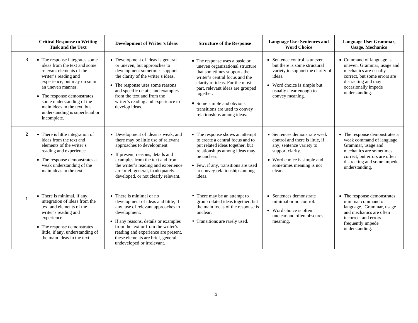|                | <b>Critical Response to Writing</b><br><b>Task and the Text</b>                                                                                                                                                                                                                                                      | <b>Development of Writer's Ideas</b>                                                                                                                                                                                                                                                                            | <b>Structure of the Response</b>                                                                                                                                                                                                                                                                                   | <b>Language Use: Sentences and</b><br><b>Word Choice</b>                                                                                                                                  | Language Use: Grammar,<br><b>Usage, Mechanics</b>                                                                                                                                             |
|----------------|----------------------------------------------------------------------------------------------------------------------------------------------------------------------------------------------------------------------------------------------------------------------------------------------------------------------|-----------------------------------------------------------------------------------------------------------------------------------------------------------------------------------------------------------------------------------------------------------------------------------------------------------------|--------------------------------------------------------------------------------------------------------------------------------------------------------------------------------------------------------------------------------------------------------------------------------------------------------------------|-------------------------------------------------------------------------------------------------------------------------------------------------------------------------------------------|-----------------------------------------------------------------------------------------------------------------------------------------------------------------------------------------------|
| 3 <sup>1</sup> | • The response integrates some<br>ideas from the text and some<br>relevant elements of the<br>writer's reading and<br>experience, but may do so in<br>an uneven manner.<br>• The response demonstrates<br>some understanding of the<br>main ideas in the text, but<br>understanding is superficial or<br>incomplete. | • Development of ideas is general<br>or uneven, but approaches to<br>development sometimes support<br>the clarity of the writer's ideas.<br>• The response uses some reasons<br>and specific details and examples<br>from the text and from the<br>writer's reading and experience to<br>develop ideas.         | • The response uses a basic or<br>uneven organizational structure<br>that sometimes supports the<br>writer's central focus and the<br>clarity of ideas. For the most<br>part, relevant ideas are grouped<br>together.<br>• Some simple and obvious<br>transitions are used to convey<br>relationships among ideas. | • Sentence control is uneven.<br>but there is some structural<br>variety to support the clarity of<br>ideas.<br>• Word choice is simple but<br>usually clear enough to<br>convey meaning. | • Command of language is<br>uneven. Grammar, usage and<br>mechanics are usually<br>correct, but some errors are<br>distracting and may<br>occasionally impede<br>understanding.               |
| $\overline{2}$ | • There is little integration of<br>ideas from the text and<br>elements of the writer's<br>reading and experience.<br>• The response demonstrates a<br>weak understanding of the<br>main ideas in the text.                                                                                                          | • Development of ideas is weak, and<br>there may be little use of relevant<br>approaches to development.<br>• If present, reasons, details and<br>examples from the text and from<br>the writer's reading and experience<br>are brief, general, inadequately<br>developed, or not clearly relevant.             | • The response shows an attempt<br>to create a central focus and to<br>put related ideas together, but<br>relationships among ideas may<br>be unclear.<br>• Few, if any, transitions are used<br>to convey relationships among<br>ideas.                                                                           | • Sentences demonstrate weak<br>control and there is little, if<br>any, sentence variety to<br>support clarity.<br>• Word choice is simple and<br>sometimes meaning is not<br>clear.      | • The response demonstrates a<br>weak command of language.<br>Grammar, usage and<br>mechanics are sometimes<br>correct, but errors are often<br>distracting and some impede<br>understanding. |
| 1              | • There is minimal, if any,<br>integration of ideas from the<br>text and elements of the<br>writer's reading and<br>experience.<br>• The response demonstrates<br>little, if any, understanding of<br>the main ideas in the text.                                                                                    | • There is minimal or no<br>development of ideas and little, if<br>any, use of relevant approaches to<br>development.<br>• If any reasons, details or examples<br>from the text or from the writer's<br>reading and experience are present,<br>these elements are brief, general,<br>undeveloped or irrelevant. | • There may be an attempt to<br>group related ideas together, but<br>the main focus of the response is<br>unclear.<br>• Transitions are rarely used.                                                                                                                                                               | • Sentences demonstrate<br>minimal or no control.<br>• Word choice is often<br>unclear and often obscures<br>meaning.                                                                     | • The response demonstrates<br>minimal command of<br>language. Grammar, usage<br>and mechanics are often<br>incorrect and errors<br>frequently impede<br>understanding.                       |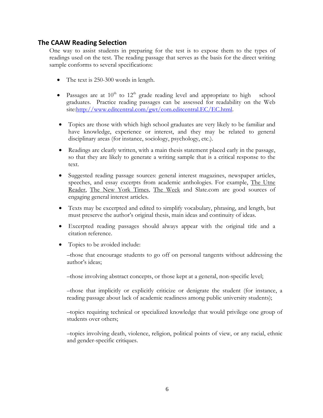## **The CAAW Reading Selection**

One way to assist students in preparing for the test is to expose them to the types of readings used on the test. The reading passage that serves as the basis for the direct writing sample conforms to several specifications:

- The text is 250-300 words in length.
- Passages are at  $10^{th}$  to  $12^{th}$  grade reading level and appropriate to high school graduates. Practice reading passages can be assessed for readability on the Web site[:http://www.editcentral.com/gwt/com.editcentral.EC/EC.html](http://www.editcentral.com/gwt/com.editcentral.EC/EC.html).
- Topics are those with which high school graduates are very likely to be familiar and have knowledge, experience or interest, and they may be related to general disciplinary areas (for instance, sociology, psychology, etc.).
- Readings are clearly written, with a main thesis statement placed early in the passage, so that they are likely to generate a writing sample that is a critical response to the text.
- Suggested reading passage sources: general interest magazines, newspaper articles, speeches, and essay excerpts from academic anthologies. For example, The Utne Reader, The New York Times, The Week and Slate.com are good sources of engaging general interest articles.
- Texts may be excerpted and edited to simplify vocabulary, phrasing, and length, but must preserve the author's original thesis, main ideas and continuity of ideas.
- Excerpted reading passages should always appear with the original title and a citation reference.
- Topics to be avoided include:

–those that encourage students to go off on personal tangents without addressing the author's ideas;

–those involving abstract concepts, or those kept at a general, non-specific level;

–those that implicitly or explicitly criticize or denigrate the student (for instance, a reading passage about lack of academic readiness among public university students);

–topics requiring technical or specialized knowledge that would privilege one group of students over others;

–topics involving death, violence, religion, political points of view, or any racial, ethnic and gender-specific critiques.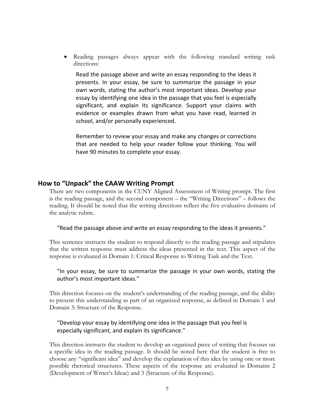• Reading passages always appear with the following standard writing task directions:

Read the passage above and write an essay responding to the ideas it presents. In your essay, be sure to summarize the passage in your own words, stating the author's most important ideas. Develop your essay by identifying one idea in the passage that you feel is especially significant, and explain its significance. Support your claims with evidence or examples drawn from what you have read, learned in school, and/or personally experienced.

Remember to review your essay and make any changes or corrections that are needed to help your reader follow your thinking. You will have 90 minutes to complete your essay.

## **How to "Unpack" the CAAW Writing Prompt**

There are two components in the CUNY Aligned Assessment of Writing prompt. The first is the reading passage, and the second component – the "Writing Directions" – follows the reading. It should be noted that the writing directions reflect the five evaluative domains of the analytic rubric.

"Read the passage above and write an essay responding to the ideas it presents."

This sentence instructs the student to respond directly to the reading passage and stipulates that the written response must address the ideas presented in the text. This aspect of the response is evaluated in Domain 1: Critical Response to Writing Task and the Text.

## "In your essay, be sure to summarize the passage in your own words, stating the author's most important ideas."

This direction focuses on the student's understanding of the reading passage, and the ability to present this understanding as part of an organized response, as defined in Domain 1 and Domain 3: Structure of the Response.

## "Develop your essay by identifying one idea in the passage that you feel is especially significant, and explain its significance."

This direction instructs the student to develop an organized piece of writing that focuses on a specific idea in the reading passage. It should be noted here that the student is free to choose any "significant idea" and develop the explanation of this idea by using one or more possible rhetorical structures. These aspects of the response are evaluated in Domains 2 (Development of Writer's Ideas) and 3 (Structure of the Response).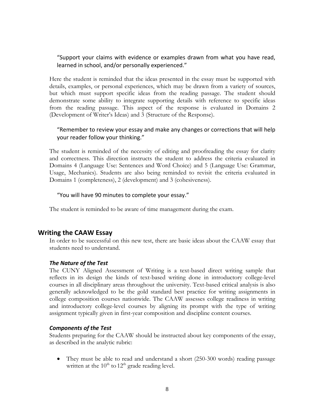"Support your claims with evidence or examples drawn from what you have read, learned in school, and/or personally experienced."

Here the student is reminded that the ideas presented in the essay must be supported with details, examples, or personal experiences, which may be drawn from a variety of sources, but which must support specific ideas from the reading passage. The student should demonstrate some ability to integrate supporting details with reference to specific ideas from the reading passage. This aspect of the response is evaluated in Domains 2 (Development of Writer's Ideas) and 3 (Structure of the Response).

## "Remember to review your essay and make any changes or corrections that will help your reader follow your thinking."

The student is reminded of the necessity of editing and proofreading the essay for clarity and correctness. This direction instructs the student to address the criteria evaluated in Domains 4 (Language Use: Sentences and Word Choice) and 5 (Language Use: Grammar, Usage, Mechanics). Students are also being reminded to revisit the criteria evaluated in Domains 1 (completeness), 2 (development) and 3 (cohesiveness).

#### "You will have 90 minutes to complete your essay."

The student is reminded to be aware of time management during the exam.

## **Writing the CAAW Essay**

In order to be successful on this new test, there are basic ideas about the CAAW essay that students need to understand.

#### *The Nature of the Test*

The CUNY Aligned Assessment of Writing is a text-based direct writing sample that reflects in its design the kinds of text-based writing done in introductory college-level courses in all disciplinary areas throughout the university. Text-based critical analysis is also generally acknowledged to be the gold standard best practice for writing assignments in college composition courses nationwide. The CAAW assesses college readiness in writing and introductory college-level courses by aligning its prompt with the type of writing assignment typically given in first-year composition and discipline content courses.

#### *Components of the Test*

Students preparing for the CAAW should be instructed about key components of the essay, as described in the analytic rubric:

• They must be able to read and understand a short (250-300 words) reading passage written at the  $10^{th}$  to  $12^{th}$  grade reading level.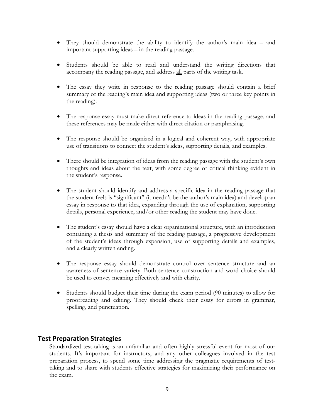- They should demonstrate the ability to identify the author's main idea and important supporting ideas – in the reading passage.
- Students should be able to read and understand the writing directions that accompany the reading passage, and address all parts of the writing task.
- The essay they write in response to the reading passage should contain a brief summary of the reading's main idea and supporting ideas (two or three key points in the reading).
- The response essay must make direct reference to ideas in the reading passage, and these references may be made either with direct citation or paraphrasing.
- The response should be organized in a logical and coherent way, with appropriate use of transitions to connect the student's ideas, supporting details, and examples.
- There should be integration of ideas from the reading passage with the student's own thoughts and ideas about the text, with some degree of critical thinking evident in the student's response.
- The student should identify and address a specific idea in the reading passage that the student feels is "significant" (it needn't be the author's main idea) and develop an essay in response to that idea, expanding through the use of explanation, supporting details, personal experience, and/or other reading the student may have done.
- The student's essay should have a clear organizational structure, with an introduction containing a thesis and summary of the reading passage, a progressive development of the student's ideas through expansion, use of supporting details and examples, and a clearly written ending.
- The response essay should demonstrate control over sentence structure and an awareness of sentence variety. Both sentence construction and word choice should be used to convey meaning effectively and with clarity.
- Students should budget their time during the exam period (90 minutes) to allow for proofreading and editing. They should check their essay for errors in grammar, spelling, and punctuation.

## **Test Preparation Strategies**

Standardized test-taking is an unfamiliar and often highly stressful event for most of our students. It's important for instructors, and any other colleagues involved in the test preparation process, to spend some time addressing the pragmatic requirements of testtaking and to share with students effective strategies for maximizing their performance on the exam.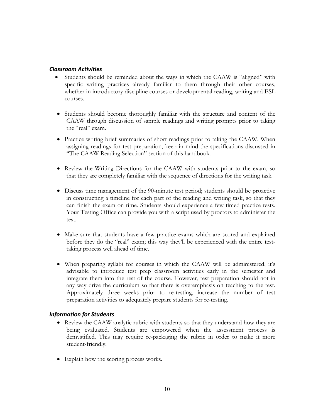## *Classroom Activities*

- Students should be reminded about the ways in which the CAAW is "aligned" with specific writing practices already familiar to them through their other courses, whether in introductory discipline courses or developmental reading, writing and ESL courses.
- Students should become thoroughly familiar with the structure and content of the CAAW through discussion of sample readings and writing prompts prior to taking the "real" exam.
- Practice writing brief summaries of short readings prior to taking the CAAW. When assigning readings for test preparation, keep in mind the specifications discussed in "The CAAW Reading Selection" section of this handbook.
- Review the Writing Directions for the CAAW with students prior to the exam, so that they are completely familiar with the sequence of directions for the writing task.
- Discuss time management of the 90-minute test period; students should be proactive in constructing a timeline for each part of the reading and writing task, so that they can finish the exam on time. Students should experience a few timed practice tests. Your Testing Office can provide you with a script used by proctors to administer the test.
- Make sure that students have a few practice exams which are scored and explained before they do the "real" exam; this way they'll be experienced with the entire testtaking process well ahead of time.
- When preparing syllabi for courses in which the CAAW will be administered, it's advisable to introduce test prep classroom activities early in the semester and integrate them into the rest of the course. However, test preparation should not in any way drive the curriculum so that there is overemphasis on teaching to the test. Approximately three weeks prior to re-testing, increase the number of test preparation activities to adequately prepare students for re-testing.

## *Information for Students*

- Review the CAAW analytic rubric with students so that they understand how they are being evaluated. Students are empowered when the assessment process is demystified. This may require re-packaging the rubric in order to make it more student-friendly.
- Explain how the scoring process works.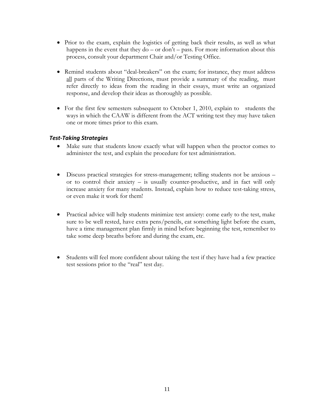- Prior to the exam, explain the logistics of getting back their results, as well as what happens in the event that they  $do - or don't - pass$ . For more information about this process, consult your department Chair and/or Testing Office.
- Remind students about "deal-breakers" on the exam; for instance, they must address all parts of the Writing Directions, must provide a summary of the reading, must refer directly to ideas from the reading in their essays, must write an organized response, and develop their ideas as thoroughly as possible.
- For the first few semesters subsequent to October 1, 2010, explain to students the ways in which the CAAW is different from the ACT writing test they may have taken one or more times prior to this exam.

## *Test‐Taking Strategies*

- Make sure that students know exactly what will happen when the proctor comes to administer the test, and explain the procedure for test administration.
- Discuss practical strategies for stress-management; telling students not be anxious or to control their anxiety  $-$  is usually counter-productive, and in fact will only increase anxiety for many students. Instead, explain how to reduce test-taking stress, or even make it work for them!
- Practical advice will help students minimize test anxiety: come early to the test, make sure to be well rested, have extra pens/pencils, eat something light before the exam, have a time management plan firmly in mind before beginning the test, remember to take some deep breaths before and during the exam, etc.
- Students will feel more confident about taking the test if they have had a few practice test sessions prior to the "real" test day.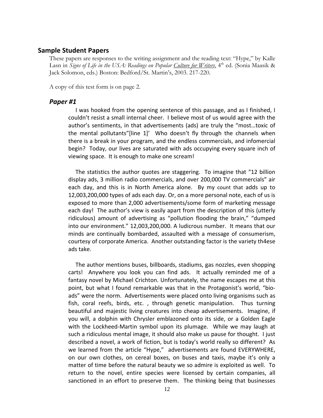#### **Sample Student Papers**

These papers are responses to the writing assignment and the reading text: "Hype," by Kalle Lasn in *Signs of Life in the USA*: Readings on Popular Culture for Writers, 4<sup>th</sup> ed. (Sonia Maasik & Jack Solomon, eds.) Boston: Bedford/St. Martin's, 2003. 217-220.

A copy of this test form is on page 2.

#### *Paper #1*

 I was hooked from the opening sentence of this passage, and as I finished, I couldn't resist a small internal cheer. I believe most of us would agree with the author's sentiments, in that advertisements (ads) are truly the "most…toxic of the mental pollutants"[line 1]' Who doesn't fly through the channels when there is a break in your program, and the endless commercials, and infomercial begin? Today, our lives are saturated with ads occupying every square inch of viewing space. It is enough to make one scream!

 The statistics the author quotes are staggering. To imagine that "12 billion display ads, 3 million radio commercials, and over 200,000 TV commercials" air each day, and this is in North America alone. By my count that adds up to 12,003,200,000 types of ads each day. Or, on a more personal note, each of us is exposed to more than 2,000 advertisements/some form of marketing message each day! The author's view is easily apart from the description of this (utterly ridiculous) amount of advertising as "pollution flooding the brain," "dumped into our environment." 12,003,200,000. A ludicrous number. It means that our minds are continually bombarded, assaulted with a message of consumerism, courtesy of corporate America. Another outstanding factor is the variety th4ese ads take.

 The author mentions buses, billboards, stadiums, gas nozzles, even shopping carts! Anywhere you look you can find ads. It actually reminded me of a fantasy novel by Michael Crichton. Unfortunately, the name escapes me at this point, but what I found remarkable was that in the Protagonist's world, "bio‐ ads" were the norm. Advertisements were placed onto living organisms such as fish, coral reefs, birds, etc., through genetic manipulation. Thus turning beautiful and majestic living creatures into cheap advertisements. Imagine, if you will, a dolphin with Chrysler emblazoned onto its side, or a Golden Eagle with the Lockheed-Martin symbol upon its plumage. While we may laugh at such a ridiculous mental image, it should also make us pause for thought. I just described a novel, a work of fiction, but is today's world really so different? As we learned from the article "Hype," advertisements are found EVERYWHERE, on our own clothes, on cereal boxes, on buses and taxis, maybe it's only a matter of time before the natural beauty we so admire is exploited as well. To return to the novel, entire species were licensed by certain companies, all sanctioned in an effort to preserve them. The thinking being that businesses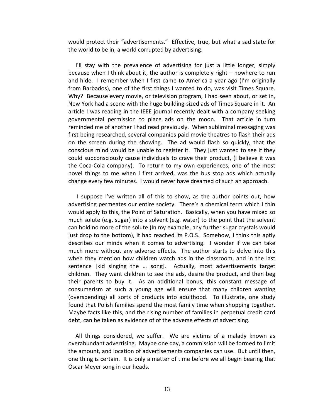would protect their "advertisements." Effective, true, but what a sad state for the world to be in, a world corrupted by advertising.

 I'll stay with the prevalence of advertising for just a little longer, simply because when I think about it, the author is completely right – nowhere to run and hide. I remember when I first came to America a year ago (I'm originally from Barbados), one of the first things I wanted to do, was visit Times Square. Why? Because every movie, or television program, I had seen about, or set in, New York had a scene with the huge building‐sized ads of Times Square in it. An article I was reading in the IEEE journal recently dealt with a company seeking governmental permission to place ads on the moon. That article in turn reminded me of another I had read previously. When subliminal messaging was first being researched, several companies paid movie theatres to flash their ads on the screen during the showing. The ad would flash so quickly, that the conscious mind would be unable to register it. They just wanted to see if they could subconsciously cause individuals to crave their product, (I believe it was the Coca‐Cola company). To return to my own experiences, one of the most novel things to me when I first arrived, was the bus stop ads which actually change every few minutes. I would never have dreamed of such an approach.

 I suppose I've written all of this to show, as the author points out, how advertising permeates our entire society. There's a chemical term which I thin would apply to this, the Point of Saturation. Basically, when you have mixed so much solute (e.g. sugar) into a solvent (e.g. water) to the point that the solvent can hold no more of the solute (In my example, any further sugar crystals would just drop to the bottom), it had reached its P.O.S. Somehow, I think this aptly describes our minds when it comes to advertising. I wonder if we can take much more without any adverse effects. The author starts to delve into this when they mention how children watch ads in the classroom, and in the last sentence [kid singing the … song]. Actually, most advertisements target children. They want children to see the ads, desire the product, and then beg their parents to buy it. As an additional bonus, this constant message of consumerism at such a young age will ensure that many children wanting (overspending) all sorts of products into adulthood. To illustrate, one study found that Polish families spend the most family time when shopping together. Maybe facts like this, and the rising number of families in perpetual credit card debt, can be taken as evidence of of the adverse effects of advertising.

 All things considered, we suffer. We are victims of a malady known as overabundant advertising. Maybe one day, a commission will be formed to limit the amount, and location of advertisements companies can use. But until then, one thing is certain. It is only a matter of time before we all begin bearing that Oscar Meyer song in our heads.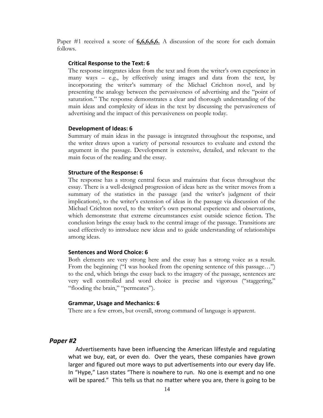Paper #1 received a score of **6,6,6,6,6.** A discussion of the score for each domain follows.

#### **Critical Response to the Text: 6**

The response integrates ideas from the text and from the writer's own experience in many ways – e.g., by effectively using images and data from the text, by incorporating the writer's summary of the Michael Crichton novel, and by presenting the analogy between the pervasiveness of advertising and the "point of saturation." The response demonstrates a clear and thorough understanding of the main ideas and complexity of ideas in the text by discussing the pervasiveness of advertising and the impact of this pervasiveness on people today.

#### **Development of Ideas: 6**

Summary of main ideas in the passage is integrated throughout the response, and the writer draws upon a variety of personal resources to evaluate and extend the argument in the passage. Development is extensive, detailed, and relevant to the main focus of the reading and the essay.

#### **Structure of the Response: 6**

The response has a strong central focus and maintains that focus throughout the essay. There is a well-designed progression of ideas here as the writer moves from a summary of the statistics in the passage (and the writer's judgment of their implications), to the writer's extension of ideas in the passage via discussion of the Michael Crichton novel, to the writer's own personal experience and observations, which demonstrate that extreme circumstances exist outside science fiction. The conclusion brings the essay back to the central image of the passage. Transitions are used effectively to introduce new ideas and to guide understanding of relationships among ideas.

#### **Sentences and Word Choice: 6**

Both elements are very strong here and the essay has a strong voice as a result. From the beginning ("I was hooked from the opening sentence of this passage...") to the end, which brings the essay back to the imagery of the passage, sentences are very well controlled and word choice is precise and vigorous ("staggering," "flooding the brain," "permeates").

#### **Grammar, Usage and Mechanics: 6**

There are a few errors, but overall, strong command of language is apparent.

#### *Paper #2*

 Advertisements have been influencing the American lilfestyle and regulating what we buy, eat, or even do. Over the years, these companies have grown larger and figured out more ways to put advertisements into our every day life. In "Hype," Lasn states "There is nowhere to run. No one is exempt and no one will be spared." This tells us that no matter where you are, there is going to be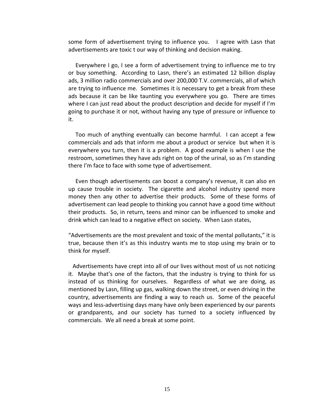some form of advertisement trying to influence you. I agree with Lasn that advertisements are toxic t our way of thinking and decision making.

 Everywhere I go, I see a form of advertisement trying to influence me to try or buy something. According to Lasn, there's an estimated 12 billion display ads, 3 million radio commercials and over 200,000 T.V. commercials, all of which are trying to influence me. Sometimes it is necessary to get a break from these ads because it can be like taunting you everywhere you go. There are times where I can just read about the product description and decide for myself if I'm going to purchase it or not, without having any type of pressure or influence to it.

 Too much of anything eventually can become harmful. I can accept a few commercials and ads that inform me about a product or service but when it is everywhere you turn, then it is a problem. A good example is when I use the restroom, sometimes they have ads right on top of the urinal, so as I'm standing there I'm face to face with some type of advertisement.

 Even though advertisements can boost a company's revenue, it can also en up cause trouble in society. The cigarette and alcohol industry spend more money then any other to advertise their products. Some of these forms of advertisement can lead people to thinking you cannot have a good time without their products. So, in return, teens and minor can be influenced to smoke and drink which can lead to a negative effect on society. When Lasn states,

"Advertisements are the most prevalent and toxic of the mental pollutants," it is true, because then it's as this industry wants me to stop using my brain or to think for myself.

 Advertisements have crept into all of our lives without most of us not noticing it. Maybe that's one of the factors, that the industry is trying to think for us instead of us thinking for ourselves. Regardless of what we are doing, as mentioned by Lasn, filling up gas, walking down the street, or even driving in the country, advertisements are finding a way to reach us. Some of the peaceful ways and less-advertising days many have only been experienced by our parents or grandparents, and our society has turned to a society influenced by commercials. We all need a break at some point.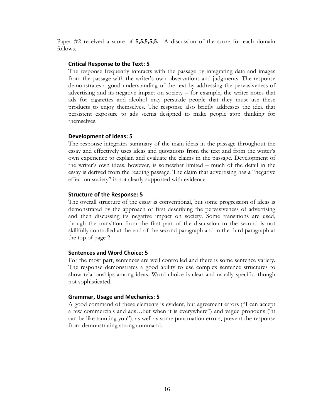Paper #2 received a score of **5,5,5,5,5.** A discussion of the score for each domain follows.

#### **Critical Response to the Text: 5**

The response frequently interacts with the passage by integrating data and images from the passage with the writer's own observations and judgments. The response demonstrates a good understanding of the text by addressing the pervasiveness of advertising and its negative impact on society – for example, the writer notes that ads for cigarettes and alcohol may persuade people that they must use these products to enjoy themselves. The response also briefly addresses the idea that persistent exposure to ads seems designed to make people stop thinking for themselves.

#### **Development of Ideas: 5**

The response integrates summary of the main ideas in the passage throughout the essay and effectively uses ideas and quotations from the text and from the writer's own experience to explain and evaluate the claims in the passage. Development of the writer's own ideas, however, is somewhat limited – much of the detail in the essay is derived from the reading passage. The claim that advertising has a "negative effect on society" is not clearly supported with evidence.

#### **Structure of the Response: 5**

The overall structure of the essay is conventional, but some progression of ideas is demonstrated by the approach of first describing the pervasiveness of advertising and then discussing its negative impact on society. Some transitions are used, though the transition from the first part of the discussion to the second is not skillfully controlled at the end of the second paragraph and in the third paragraph at the top of page 2.

#### **Sentences and Word Choice: 5**

For the most part, sentences are well controlled and there is some sentence variety. The response demonstrates a good ability to use complex sentence structures to show relationships among ideas. Word choice is clear and usually specific, though not sophisticated.

#### **Grammar, Usage and Mechanics: 5**

A good command of these elements is evident, but agreement errors ("I can accept a few commercials and ads…but when it is everywhere") and vague pronouns ("it can be like taunting you"), as well as some punctuation errors, prevent the response from demonstrating strong command.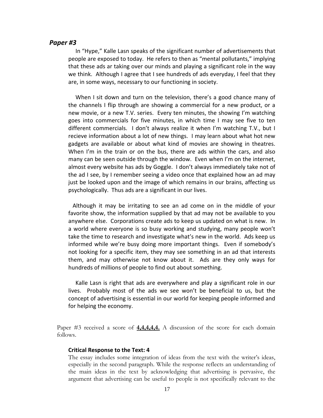#### *Paper #3*

 In "Hype," Kalle Lasn speaks of the significant number of advertisements that people are exposed to today. He refers to then as "mental pollutants," implying that these ads ar taking over our minds and playing a significant role in the way we think. Although I agree that I see hundreds of ads everyday, I feel that they are, in some ways, necessary to our functioning in society.

 When I sit down and turn on the television, there's a good chance many of the channels I flip through are showing a commercial for a new product, or a new movie, or a new T.V. series. Every ten minutes, the showing I'm watching goes into commercials for five minutes, in which time I may see five to ten different commercials. I don't always realize it when I'm watching T.V., but I recieve information about a lot of new things. I may learn about what hot new gadgets are available or about what kind of movies are showing in theatres. When I'm in the train or on the bus, there are ads within the cars, and also many can be seen outside through the window. Even when I'm on the internet, almost every website has ads by Goggle. I don't always immediately take not of the ad I see, by I remember seeing a video once that explained how an ad may just be looked upon and the image of which remains in our brains, affecting us psychologically. Thus ads are a significant in our lives.

 Although it may be irritating to see an ad come on in the middle of your favorite show, the information supplied by that ad may not be available to you anywhere else. Corporations create ads to keep us updated on what is new. In a world where everyone is so busy working and studying, many people won't take the time to research and investigate what's new in the world. Ads keep us informed while we're busy doing more important things. Even if somebody's not looking for a specific item, they may see something in an ad that interests them, and may otherwise not know about it. Ads are they only ways for hundreds of millions of people to find out about something.

 Kalle Lasn is right that ads are everywhere and play a significant role in our lives. Probably most of the ads we see won't be beneficial to us, but the concept of advertising is essential in our world for keeping people informed and for helping the economy.

Paper #3 received a score of **4,4,4,4,4.** A discussion of the score for each domain follows.

#### **Critical Response to the Text: 4**

The essay includes some integration of ideas from the text with the writer's ideas, especially in the second paragraph. While the response reflects an understanding of the main ideas in the text by acknowledging that advertising is pervasive, the argument that advertising can be useful to people is not specifically relevant to the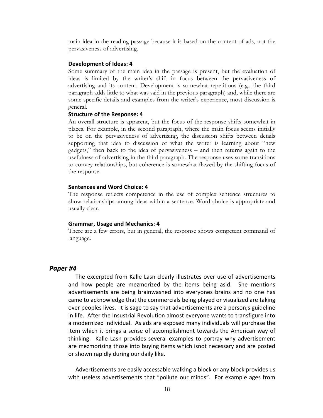main idea in the reading passage because it is based on the content of ads, not the pervasiveness of advertising.

#### **Development of Ideas: 4**

Some summary of the main idea in the passage is present, but the evaluation of ideas is limited by the writer's shift in focus between the pervasiveness of advertising and its content. Development is somewhat repetitious (e.g., the third paragraph adds little to what was said in the previous paragraph) and, while there are some specific details and examples from the writer's experience, most discussion is general.

#### **Structure of the Response: 4**

An overall structure is apparent, but the focus of the response shifts somewhat in places. For example, in the second paragraph, where the main focus seems initially to be on the pervasiveness of advertising, the discussion shifts between details supporting that idea to discussion of what the writer is learning about "new gadgets," then back to the idea of pervasiveness – and then returns again to the usefulness of advertising in the third paragraph. The response uses some transitions to convey relationships, but coherence is somewhat flawed by the shifting focus of the response.

#### **Sentences and Word Choice: 4**

The response reflects competence in the use of complex sentence structures to show relationships among ideas within a sentence. Word choice is appropriate and usually clear.

#### **Grammar, Usage and Mechanics: 4**

There are a few errors, but in general, the response shows competent command of language.

#### *Paper #4*

 The excerpted from Kalle Lasn clearly illustrates over use of advertisements and how people are mezmorized by the items being asid. She mentions advertisements are being brainwashed into everyones brains and no one has came to acknowledge that the commercials being played or visualized are taking over peoples lives. It is sage to say that advertisements are a person;s guideline in life. After the Insustrial Revolution almost everyone wants to transfigure into a modernized individual. As ads are exposed many individuals will purchase the item which it brings a sense of accomplishment towards the American way of thinking. Kalle Lasn provides several examples to portray why advertisement are mezmorizing those into buying items which isnot necessary and are posted or shown rapidly during our daily like.

 Advertisements are easily accessable walking a block or any block provides us with useless advertisements that "pollute our minds". For example ages from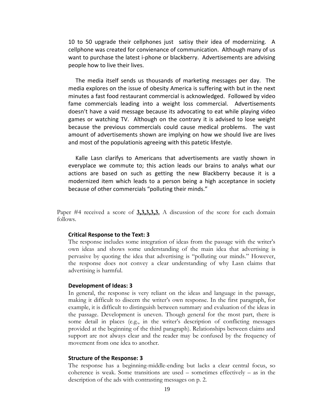10 to 50 upgrade their cellphones just satisy their idea of modernizing. A cellphone was created for convienance of communication. Although many of us want to purchase the latest i-phone or blackberry. Advertisements are advising people how to live their lives.

 The media itself sends us thousands of marketing messages per day. The media explores on the issue of obesity America is suffering with but in the next minutes a fast food restaurant commercial is acknowledged. Followed by video fame commercials leading into a weight loss commercial. Advertisements doesn't have a vaid message because its advocating to eat while playing video games or watching TV. Although on the contrary it is advised to lose weight because the previous commercials could cause medical problems. The vast amount of advertisements shown are implying on how we should live are lives and most of the populationis agreeing with this patetic lifestyle.

 Kalle Lasn clarifys to Americans that advertisements are vastly shown in everyplace we commute to; this action leads our brains to analys what our actions are based on such as getting the new Blackberry because it is a modernized item which leads to a person being a high acceptance in society because of other commercials "polluting their minds."

Paper #4 received a score of **3,3,3,3,3.** A discussion of the score for each domain follows.

#### **Critical Response to the Text: 3**

The response includes some integration of ideas from the passage with the writer's own ideas and shows some understanding of the main idea that advertising is pervasive by quoting the idea that advertising is "polluting our minds." However, the response does not convey a clear understanding of why Lasn claims that advertising is harmful.

#### **Development of Ideas: 3**

In general, the response is very reliant on the ideas and language in the passage, making it difficult to discern the writer's own response. In the first paragraph, for example, it is difficult to distinguish between summary and evaluation of the ideas in the passage. Development is uneven. Though general for the most part, there is some detail in places (e.g., in the writer's description of conflicting messages provided at the beginning of the third paragraph). Relationships between claims and support are not always clear and the reader may be confused by the frequency of movement from one idea to another.

#### **Structure of the Response: 3**

The response has a beginning-middle-ending but lacks a clear central focus, so coherence is weak. Some transitions are used – sometimes effectively – as in the description of the ads with contrasting messages on p. 2.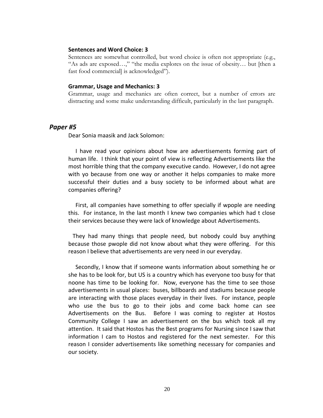#### **Sentences and Word Choice: 3**

Sentences are somewhat controlled, but word choice is often not appropriate (e.g., "As ads are exposed…," "the media explores on the issue of obesity… but [then a fast food commercial] is acknowledged").

#### **Grammar, Usage and Mechanics: 3**

Grammar, usage and mechanics are often correct, but a number of errors are distracting and some make understanding difficult, particularly in the last paragraph.

#### *Paper #5*

Dear Sonia maasik and Jack Solomon:

 I have read your opinions about how are advertisements forming part of human life. I think that your point of view is reflecting Advertisements like the most horrible thing that the company executive cando. However, I do not agree with yo because from one way or another it helps companies to make more successful their duties and a busy society to be informed about what are companies offering?

 First, all companies have something to offer specially if wpople are needing this. For instance, In the last month I knew two companies which had t close their services because they were lack of knowledge about Advertisements.

 They had many things that people need, but nobody could buy anything because those pwople did not know about what they were offering. For this reason I believe that advertisements are very need in our everyday.

 Secondly, I know that if someone wants information about something he or she has to be look for, but US is a country which has everyone too busy for that noone has time to be looking for. Now, everyone has the time to see those advertisements in usual places: buses, billboards and stadiums because people are interacting with those places everyday in their lives. For instance, people who use the bus to go to their jobs and come back home can see Advertisements on the Bus. Before I was coming to register at Hostos Community College I saw an advertisement on the bus which took all my attention. It said that Hostos has the Best programs for Nursing since I saw that information I cam to Hostos and registered for the next semester. For this reason I consider advertisements like something necessary for companies and our society.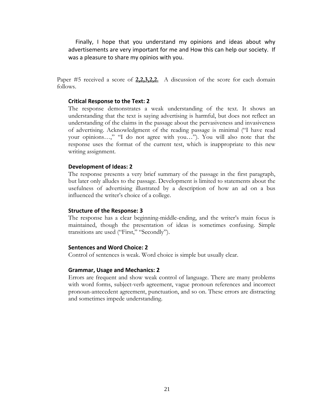Finally, I hope that you understand my opinions and ideas about why advertisements are very important for me and How this can help our society. If was a pleasure to share my opinios with you.

Paper #5 received a score of 2.2.3.2.2. A discussion of the score for each domain follows.

#### **Critical Response to the Text: 2**

The response demonstrates a weak understanding of the text. It shows an understanding that the text is saying advertising is harmful, but does not reflect an understanding of the claims in the passage about the pervasiveness and invasiveness of advertising. Acknowledgment of the reading passage is minimal ("I have read your opinions…," "I do not agree with you…"). You will also note that the response uses the format of the current test, which is inappropriate to this new writing assignment.

#### **Development of Ideas: 2**

The response presents a very brief summary of the passage in the first paragraph, but later only alludes to the passage. Development is limited to statements about the usefulness of advertising illustrated by a description of how an ad on a bus influenced the writer's choice of a college.

#### **Structure of the Response: 3**

The response has a clear beginning-middle-ending, and the writer's main focus is maintained, though the presentation of ideas is sometimes confusing. Simple transitions are used ("First," "Secondly").

#### **Sentences and Word Choice: 2**

Control of sentences is weak. Word choice is simple but usually clear.

#### **Grammar, Usage and Mechanics: 2**

Errors are frequent and show weak control of language. There are many problems with word forms, subject-verb agreement, vague pronoun references and incorrect pronoun-antecedent agreement, punctuation, and so on. These errors are distracting and sometimes impede understanding.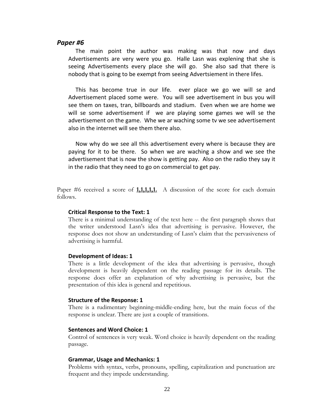#### *Paper #6*

 The main point the author was making was that now and days Advertisements are very were you go. Halle Lasn was explening that she is seeing Advertisements every place she will go. She also sad that there is nobody that is going to be exempt from seeing Advertsiement in there lifes.

This has become true in our life. ever place we go we will se and Advertisement placed some were. You will see advertisement in bus you will see them on taxes, tran, billboards and stadium. Even when we are home we will se some advertisement if we are playing some games we will se the advertisement on the game. Whe we ar waching some tv we see advertisement also in the internet will see them there also.

 Now why do we see all this advertisement every where is because they are paying for it to be there. So when we are waching a show and we see the advertisement that is now the show is getting pay. Also on the radio they say it in the radio that they need to go on commercial to get pay.

Paper #6 received a score of **1,1,1,1,1.** A discussion of the score for each domain follows.

#### **Critical Response to the Text: 1**

There is a minimal understanding of the text here -- the first paragraph shows that the writer understood Lasn's idea that advertising is pervasive. However, the response does not show an understanding of Lasn's claim that the pervasiveness of advertising is harmful.

#### **Development of Ideas: 1**

There is a little development of the idea that advertising is pervasive, though development is heavily dependent on the reading passage for its details. The response does offer an explanation of why advertising is pervasive, but the presentation of this idea is general and repetitious.

#### **Structure of the Response: 1**

There is a rudimentary beginning-middle-ending here, but the main focus of the response is unclear. There are just a couple of transitions.

#### **Sentences and Word Choice: 1**

Control of sentences is very weak. Word choice is heavily dependent on the reading passage.

#### **Grammar, Usage and Mechanics: 1**

Problems with syntax, verbs, pronouns, spelling, capitalization and punctuation are frequent and they impede understanding.